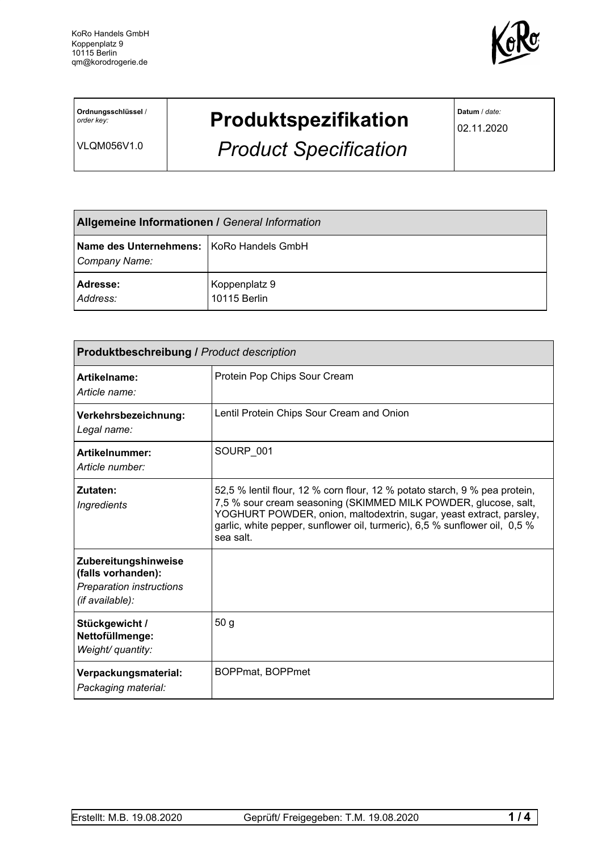

**Ordnungsschlüssel** / *order key:*

VLQM056V1.0

## **Produktspezifikation**

*Product Specification*

**Datum** / *date:*

02.11.2020

| <b>Allgemeine Informationen / General Information</b>       |                               |  |
|-------------------------------------------------------------|-------------------------------|--|
| Name des Unternehmens:   KoRo Handels GmbH<br>Company Name: |                               |  |
| <b>Adresse:</b><br>Address:                                 | Koppenplatz 9<br>10115 Berlin |  |

| <b>Produktbeschreibung / Product description</b>                                                 |                                                                                                                                                                                                                                                                                                                 |  |
|--------------------------------------------------------------------------------------------------|-----------------------------------------------------------------------------------------------------------------------------------------------------------------------------------------------------------------------------------------------------------------------------------------------------------------|--|
| Artikelname:<br>Article name:                                                                    | Protein Pop Chips Sour Cream                                                                                                                                                                                                                                                                                    |  |
| Verkehrsbezeichnung:<br>Legal name:                                                              | Lentil Protein Chips Sour Cream and Onion                                                                                                                                                                                                                                                                       |  |
| Artikelnummer:<br>Article number:                                                                | SOURP_001                                                                                                                                                                                                                                                                                                       |  |
| Zutaten:<br><b>Ingredients</b>                                                                   | 52,5 % lentil flour, 12 % corn flour, 12 % potato starch, 9 % pea protein,<br>7,5 % sour cream seasoning (SKIMMED MILK POWDER, glucose, salt,<br>YOGHURT POWDER, onion, maltodextrin, sugar, yeast extract, parsley,<br>garlic, white pepper, sunflower oil, turmeric), 6,5 % sunflower oil, 0,5 %<br>sea salt. |  |
| Zubereitungshinweise<br>(falls vorhanden):<br><b>Preparation instructions</b><br>(if available): |                                                                                                                                                                                                                                                                                                                 |  |
| Stückgewicht /<br>Nettofüllmenge:<br>Weight/ quantity:                                           | 50 <sub>g</sub>                                                                                                                                                                                                                                                                                                 |  |
| Verpackungsmaterial:<br>Packaging material:                                                      | BOPPmat, BOPPmet                                                                                                                                                                                                                                                                                                |  |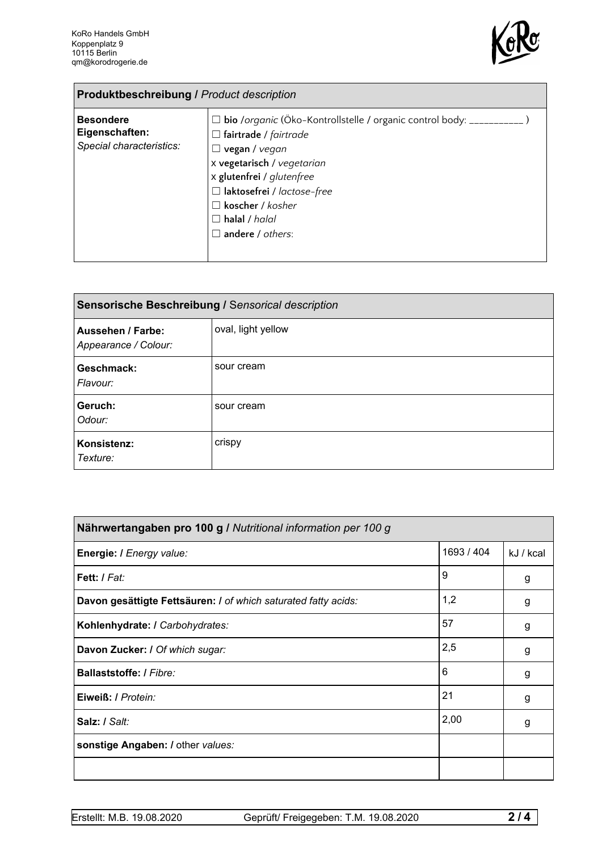

| <b>Produktbeschreibung / Product description</b>               |                                                                                                                                                                                                                                                                                           |  |
|----------------------------------------------------------------|-------------------------------------------------------------------------------------------------------------------------------------------------------------------------------------------------------------------------------------------------------------------------------------------|--|
| <b>Besondere</b><br>Eigenschaften:<br>Special characteristics: | □ bio /organic (Öko-Kontrollstelle / organic control body: ___________<br>$\Box$ fairtrade / fairtrade<br>vegan / vegan<br>x vegetarisch / vegetarian<br>x glutenfrei / glutenfree<br>□ laktosefrei / lactose-free<br>$\Box$ koscher / kosher<br>$\Box$ halal / halal<br>andere / others: |  |

| Sensorische Beschreibung / Sensorical description |                    |  |
|---------------------------------------------------|--------------------|--|
| <b>Aussehen / Farbe:</b><br>Appearance / Colour:  | oval, light yellow |  |
| Geschmack:<br>Flavour:                            | sour cream         |  |
| Geruch:<br>Odour:                                 | sour cream         |  |
| Konsistenz:<br>Texture:                           | crispy             |  |

| Nährwertangaben pro 100 g / Nutritional information per 100 g  |            |           |
|----------------------------------------------------------------|------------|-----------|
| Energie: I Energy value:                                       | 1693 / 404 | kJ / kcal |
| Fett: / Fat:                                                   | 9          | g         |
| Davon gesättigte Fettsäuren: I of which saturated fatty acids: | 1,2        | g         |
| Kohlenhydrate: I Carbohydrates:                                | 57         | g         |
| Davon Zucker: I Of which sugar:                                | 2,5        | g         |
| Ballaststoffe: / Fibre:                                        | 6          | g         |
| Eiweiß: / Protein:                                             | 21         | g         |
| Salz: / Salt:                                                  | 2,00       | g         |
| sonstige Angaben: / other values:                              |            |           |
|                                                                |            |           |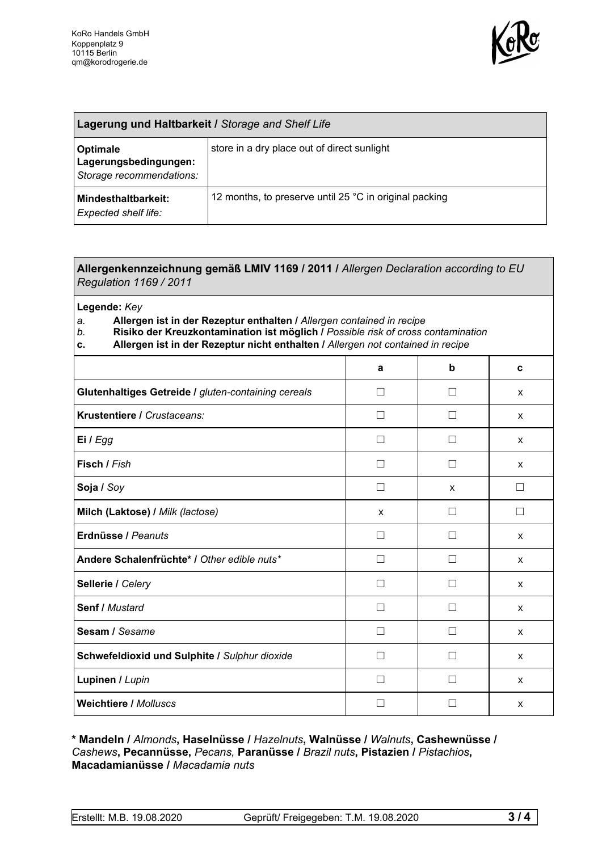

| Lagerung und Haltbarkeit / Storage and Shelf Life             |                                                        |  |
|---------------------------------------------------------------|--------------------------------------------------------|--|
| Optimale<br>Lagerungsbedingungen:<br>Storage recommendations: | store in a dry place out of direct sunlight            |  |
| <b>Mindesthaltbarkeit:</b><br><b>Expected shelf life:</b>     | 12 months, to preserve until 25 °C in original packing |  |

## **Allergenkennzeichnung gemäß LMIV 1169 / 2011 /** *Allergen Declaration according to EU Regulation 1169 / 2011*

**Legende:** *Key*

*a.* **Allergen ist in der Rezeptur enthalten /** *Allergen contained in recipe*

- *b.* **Risiko der Kreuzkontamination ist möglich /** *Possible risk of cross contamination*
- **c. Allergen ist in der Rezeptur nicht enthalten /** *Allergen not contained in recipe*

|                                                     | a            | b                 | C            |
|-----------------------------------------------------|--------------|-------------------|--------------|
| Glutenhaltiges Getreide / gluten-containing cereals | П            | П                 | $\mathsf{x}$ |
| Krustentiere / Crustaceans:                         | П            | П                 | X            |
| Ei / Egg                                            | $\mathsf{L}$ | $\vert \ \ \vert$ | $\mathsf{x}$ |
| Fisch / Fish                                        | П            | П                 | X            |
| Soja / Soy                                          | $\mathsf{L}$ | X                 | $\Box$       |
| Milch (Laktose) / Milk (lactose)                    | X            | $\Box$            | П            |
| Erdnüsse / Peanuts                                  | П            | $\mathsf{L}$      | $\mathsf{x}$ |
| Andere Schalenfrüchte* / Other edible nuts*         | П            | П                 | X            |
| Sellerie / Celery                                   | П            | П                 | X            |
| Senf / Mustard                                      | П            | П                 | X            |
| Sesam / Sesame                                      | $\mathsf{L}$ | П                 | X            |
| Schwefeldioxid und Sulphite / Sulphur dioxide       | $\mathsf{L}$ | $\vert \ \ \vert$ | X            |
| Lupinen / Lupin                                     |              | $\mathcal{L}$     | X            |
| <b>Weichtiere / Molluscs</b>                        | $\mathbf{I}$ |                   | X            |

## **\* Mandeln /** *Almonds***, Haselnüsse /** *Hazelnuts***, Walnüsse /** *Walnuts***, Cashewnüsse /** *Cashews***, Pecannüsse,** *Pecans,* **Paranüsse /** *Brazil nuts***, Pistazien /** *Pistachios***, Macadamianüsse /** *Macadamia nuts*